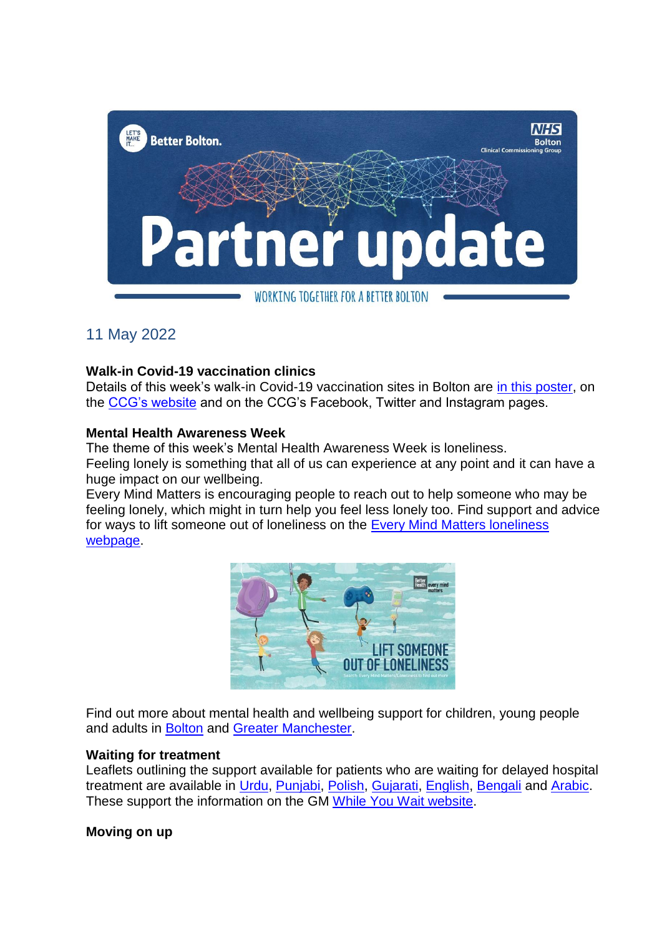

# 11 May 2022

## **Walk-in Covid-19 vaccination clinics**

Details of this week's walk-in Covid-19 vaccination sites in Bolton are [in this poster,](https://www.boltonccg.nhs.uk/media/8111/vaccs_sites-15may.pdf) on the [CCG's website](https://www.boltonccg.nhs.uk/patient-zone/coronavirus) and on the CCG's Facebook, Twitter and Instagram pages.

## **Mental Health Awareness Week**

The theme of this week's Mental Health Awareness Week is loneliness.

Feeling lonely is something that all of us can experience at any point and it can have a huge impact on our wellbeing.

Every Mind Matters is encouraging people to reach out to help someone who may be feeling lonely, which might in turn help you feel less lonely too. Find support and advice for ways to lift someone out of loneliness on the [Every Mind Matters loneliness](https://www.nhs.uk/every-mind-matters/lifes-challenges/loneliness/)  [webpage.](https://www.nhs.uk/every-mind-matters/lifes-challenges/loneliness/)



Find out more about mental health and wellbeing support for children, young people and adults in [Bolton](https://www.boltonccg.nhs.uk/patient-zone/your-services) and Greater [Manchester.](https://hub.gmhsc.org.uk/mental-health/in-your-area/)

## **Waiting for treatment**

Leaflets outlining the support available for patients who are waiting for delayed hospital treatment are available in [Urdu,](https://www.boltonccg.nhs.uk/media/8063/while-you-wait-leaflet-final_urdu-002.pdf) [Punjabi,](https://www.boltonccg.nhs.uk/media/8062/while-you-wait-leaflet-final_punjabi.pdf) [Polish,](https://www.boltonccg.nhs.uk/media/8061/while-you-wait-leaflet-final_polish.pdf) [Gujarati,](https://www.boltonccg.nhs.uk/media/8060/while-you-wait-leaflet-final_gujarati.pdf) [English,](https://www.boltonccg.nhs.uk/media/8059/while-you-wait-leaflet-final_english.pdf) [Bengali](https://www.boltonccg.nhs.uk/media/8058/while-you-wait-leaflet-final_bengali.pdf) and [Arabic.](https://www.boltonccg.nhs.uk/media/8057/while-you-wait-leaflet-final_arabic.pdf) These support the information on the GM [While You Wait website.](https://whileyouwait.org.uk/)

## **Moving on up**